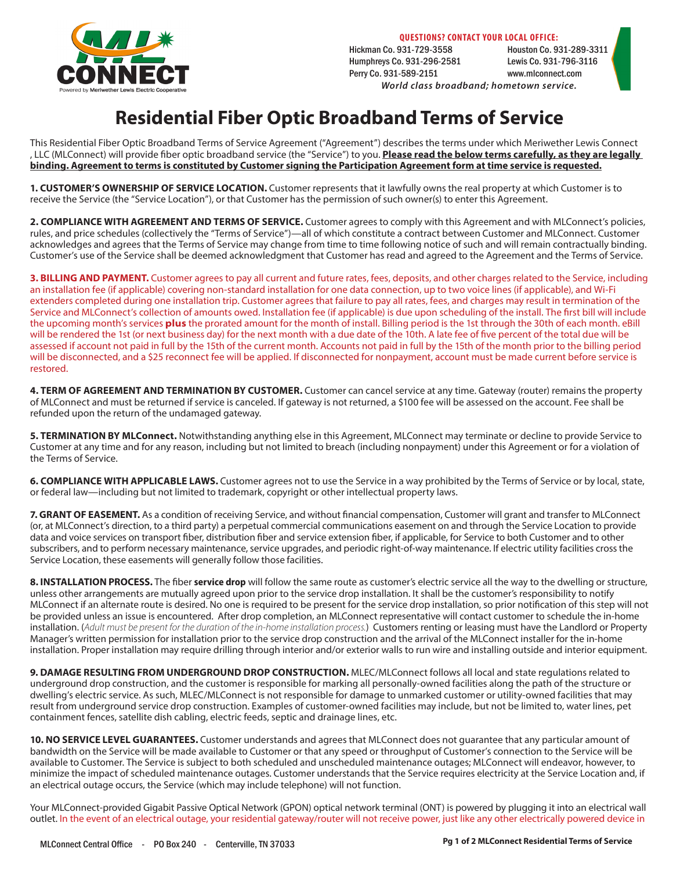

**QUESTIONS? CONTACT YOUR LOCAL OFFICE:**

Hickman Co. 931-729-3558 Houston Co. 931-289-3311 Humphreys Co. 931-296-2581 Lewis Co. 931-796-3116 Perry Co. 931-589-2151 www.mlconnect.com

## *World class broadband; hometown service.*

## **Residential Fiber Optic Broadband Terms of Service**

This Residential Fiber Optic Broadband Terms of Service Agreement ("Agreement") describes the terms under which Meriwether Lewis Connect , LLC (MLConnect) will provide fiber optic broadband service (the "Service") to you. **Please read the below terms carefully, as they are legally binding. Agreement to terms is constituted by Customer signing the Participation Agreement form at time service is requested.**

**1. CUSTOMER'S OWNERSHIP OF SERVICE LOCATION.** Customer represents that it lawfully owns the real property at which Customer is to receive the Service (the "Service Location"), or that Customer has the permission of such owner(s) to enter this Agreement.

**2. COMPLIANCE WITH AGREEMENT AND TERMS OF SERVICE.** Customer agrees to comply with this Agreement and with MLConnect's policies, rules, and price schedules (collectively the "Terms of Service")—all of which constitute a contract between Customer and MLConnect. Customer acknowledges and agrees that the Terms of Service may change from time to time following notice of such and will remain contractually binding. Customer's use of the Service shall be deemed acknowledgment that Customer has read and agreed to the Agreement and the Terms of Service.

**3. BILLING AND PAYMENT.** Customer agrees to pay all current and future rates, fees, deposits, and other charges related to the Service, including an installation fee (if applicable) covering non-standard installation for one data connection, up to two voice lines (if applicable), and Wi-Fi extenders completed during one installation trip. Customer agrees that failure to pay all rates, fees, and charges may result in termination of the Service and MLConnect's collection of amounts owed. Installation fee (if applicable) is due upon scheduling of the install. The first bill will include the upcoming month's services **plus** the prorated amount for the month of install. Billing period is the 1st through the 30th of each month. eBill will be rendered the 1st (or next business day) for the next month with a due date of the 10th. A late fee of five percent of the total due will be assessed if account not paid in full by the 15th of the current month. Accounts not paid in full by the 15th of the month prior to the billing period will be disconnected, and a \$25 reconnect fee will be applied. If disconnected for nonpayment, account must be made current before service is restored.

**4. TERM OF AGREEMENT AND TERMINATION BY CUSTOMER.** Customer can cancel service at any time. Gateway (router) remains the property of MLConnect and must be returned if service is canceled. If gateway is not returned, a \$100 fee will be assessed on the account. Fee shall be refunded upon the return of the undamaged gateway.

**5. TERMINATION BY MLConnect.** Notwithstanding anything else in this Agreement, MLConnect may terminate or decline to provide Service to Customer at any time and for any reason, including but not limited to breach (including nonpayment) under this Agreement or for a violation of the Terms of Service.

**6. COMPLIANCE WITH APPLICABLE LAWS.** Customer agrees not to use the Service in a way prohibited by the Terms of Service or by local, state, or federal law—including but not limited to trademark, copyright or other intellectual property laws.

**7. GRANT OF EASEMENT.** As a condition of receiving Service, and without financial compensation, Customer will grant and transfer to MLConnect (or, at MLConnect's direction, to a third party) a perpetual commercial communications easement on and through the Service Location to provide data and voice services on transport fiber, distribution fiber and service extension fiber, if applicable, for Service to both Customer and to other subscribers, and to perform necessary maintenance, service upgrades, and periodic right-of-way maintenance. If electric utility facilities cross the Service Location, these easements will generally follow those facilities.

**8. INSTALLATION PROCESS.** The fiber **service drop** will follow the same route as customer's electric service all the way to the dwelling or structure, unless other arrangements are mutually agreed upon prior to the service drop installation. It shall be the customer's responsibility to notify MLConnect if an alternate route is desired. No one is required to be present for the service drop installation, so prior notification of this step will not be provided unless an issue is encountered. After drop completion, an MLConnect representative will contact customer to schedule the in-home installation. (*Adult must be present for the duration of the in-home installation process.*) Customers renting or leasing must have the Landlord or Property Manager's written permission for installation prior to the service drop construction and the arrival of the MLConnect installer for the in-home installation. Proper installation may require drilling through interior and/or exterior walls to run wire and installing outside and interior equipment.

**9. DAMAGE RESULTING FROM UNDERGROUND DROP CONSTRUCTION.** MLEC/MLConnect follows all local and state regulations related to underground drop construction, and the customer is responsible for marking all personally-owned facilities along the path of the structure or dwelling's electric service. As such, MLEC/MLConnect is not responsible for damage to unmarked customer or utility-owned facilities that may result from underground service drop construction. Examples of customer-owned facilities may include, but not be limited to, water lines, pet containment fences, satellite dish cabling, electric feeds, septic and drainage lines, etc.

**10. NO SERVICE LEVEL GUARANTEES.** Customer understands and agrees that MLConnect does not guarantee that any particular amount of bandwidth on the Service will be made available to Customer or that any speed or throughput of Customer's connection to the Service will be available to Customer. The Service is subject to both scheduled and unscheduled maintenance outages; MLConnect will endeavor, however, to minimize the impact of scheduled maintenance outages. Customer understands that the Service requires electricity at the Service Location and, if an electrical outage occurs, the Service (which may include telephone) will not function.

Your MLConnect-provided Gigabit Passive Optical Network (GPON) optical network terminal (ONT) is powered by plugging it into an electrical wall outlet. In the event of an electrical outage, your residential gateway/router will not receive power, just like any other electrically powered device in